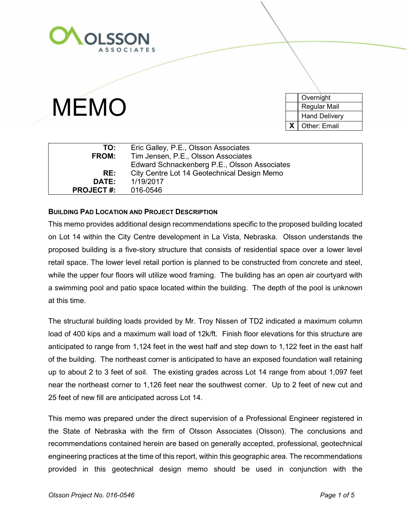

**MEMO** 

| Overnight            |  |
|----------------------|--|
|                      |  |
| Regular Mail         |  |
| <b>Hand Delivery</b> |  |
| X<br>Other: Email    |  |

| TO:              | Eric Galley, P.E., Olsson Associates         |  |  |  |
|------------------|----------------------------------------------|--|--|--|
| <b>FROM:</b>     | Tim Jensen, P.E., Olsson Associates          |  |  |  |
|                  | Edward Schnackenberg P.E., Olsson Associates |  |  |  |
| RE:              | City Centre Lot 14 Geotechnical Design Memo  |  |  |  |
| <b>DATE:</b>     | 1/19/2017                                    |  |  |  |
| <b>PROJECT#:</b> | 016-0546                                     |  |  |  |

### **BUILDING PAD LOCATION AND PROJECT DESCRIPTION**

This memo provides additional design recommendations specific to the proposed building located on Lot 14 within the City Centre development in La Vista, Nebraska. Olsson understands the proposed building is a five-story structure that consists of residential space over a lower level retail space. The lower level retail portion is planned to be constructed from concrete and steel, while the upper four floors will utilize wood framing. The building has an open air courtyard with a swimming pool and patio space located within the building. The depth of the pool is unknown at this time.

The structural building loads provided by Mr. Troy Nissen of TD2 indicated a maximum column load of 400 kips and a maximum wall load of 12k/ft. Finish floor elevations for this structure are anticipated to range from 1,124 feet in the west half and step down to 1,122 feet in the east half of the building. The northeast corner is anticipated to have an exposed foundation wall retaining up to about 2 to 3 feet of soil. The existing grades across Lot 14 range from about 1,097 feet near the northeast corner to 1,126 feet near the southwest corner. Up to 2 feet of new cut and 25 feet of new fill are anticipated across Lot 14.

This memo was prepared under the direct supervision of a Professional Engineer registered in the State of Nebraska with the firm of Olsson Associates (Olsson). The conclusions and recommendations contained herein are based on generally accepted, professional, geotechnical engineering practices at the time of this report, within this geographic area. The recommendations provided in this geotechnical design memo should be used in conjunction with the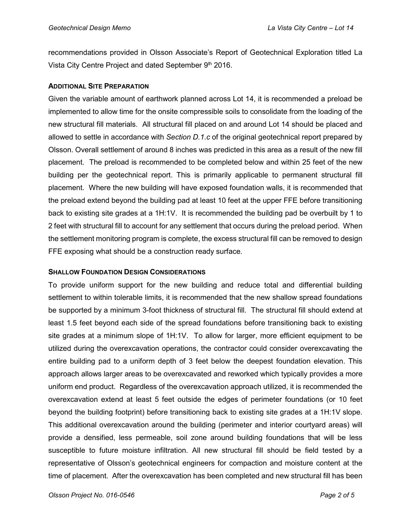recommendations provided in Olsson Associate's Report of Geotechnical Exploration titled La Vista City Centre Project and dated September  $9<sup>th</sup>$  2016.

# **ADDITIONAL SITE PREPARATION**

Given the variable amount of earthwork planned across Lot 14, it is recommended a preload be implemented to allow time for the onsite compressible soils to consolidate from the loading of the new structural fill materials. All structural fill placed on and around Lot 14 should be placed and allowed to settle in accordance with *Section D.1.c* of the original geotechnical report prepared by Olsson. Overall settlement of around 8 inches was predicted in this area as a result of the new fill placement. The preload is recommended to be completed below and within 25 feet of the new building per the geotechnical report. This is primarily applicable to permanent structural fill placement. Where the new building will have exposed foundation walls, it is recommended that the preload extend beyond the building pad at least 10 feet at the upper FFE before transitioning back to existing site grades at a 1H:1V. It is recommended the building pad be overbuilt by 1 to 2 feet with structural fill to account for any settlement that occurs during the preload period. When the settlement monitoring program is complete, the excess structural fill can be removed to design FFE exposing what should be a construction ready surface.

# **SHALLOW FOUNDATION DESIGN CONSIDERATIONS**

To provide uniform support for the new building and reduce total and differential building settlement to within tolerable limits, it is recommended that the new shallow spread foundations be supported by a minimum 3-foot thickness of structural fill. The structural fill should extend at least 1.5 feet beyond each side of the spread foundations before transitioning back to existing site grades at a minimum slope of 1H:1V. To allow for larger, more efficient equipment to be utilized during the overexcavation operations, the contractor could consider overexcavating the entire building pad to a uniform depth of 3 feet below the deepest foundation elevation. This approach allows larger areas to be overexcavated and reworked which typically provides a more uniform end product. Regardless of the overexcavation approach utilized, it is recommended the overexcavation extend at least 5 feet outside the edges of perimeter foundations (or 10 feet beyond the building footprint) before transitioning back to existing site grades at a 1H:1V slope. This additional overexcavation around the building (perimeter and interior courtyard areas) will provide a densified, less permeable, soil zone around building foundations that will be less susceptible to future moisture infiltration. All new structural fill should be field tested by a representative of Olsson's geotechnical engineers for compaction and moisture content at the time of placement. After the overexcavation has been completed and new structural fill has been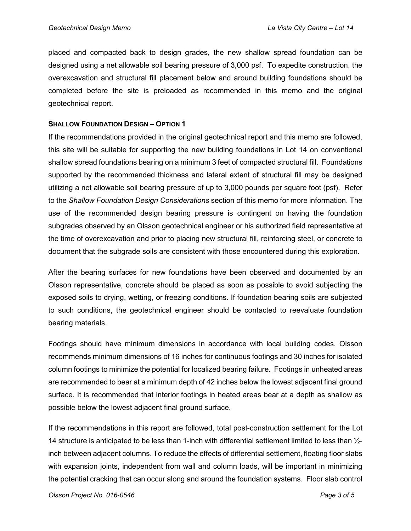placed and compacted back to design grades, the new shallow spread foundation can be designed using a net allowable soil bearing pressure of 3,000 psf. To expedite construction, the overexcavation and structural fill placement below and around building foundations should be completed before the site is preloaded as recommended in this memo and the original geotechnical report.

### **SHALLOW FOUNDATION DESIGN – OPTION 1**

If the recommendations provided in the original geotechnical report and this memo are followed, this site will be suitable for supporting the new building foundations in Lot 14 on conventional shallow spread foundations bearing on a minimum 3 feet of compacted structural fill. Foundations supported by the recommended thickness and lateral extent of structural fill may be designed utilizing a net allowable soil bearing pressure of up to 3,000 pounds per square foot (psf). Refer to the *Shallow Foundation Design Considerations* section of this memo for more information. The use of the recommended design bearing pressure is contingent on having the foundation subgrades observed by an Olsson geotechnical engineer or his authorized field representative at the time of overexcavation and prior to placing new structural fill, reinforcing steel, or concrete to document that the subgrade soils are consistent with those encountered during this exploration.

After the bearing surfaces for new foundations have been observed and documented by an Olsson representative, concrete should be placed as soon as possible to avoid subjecting the exposed soils to drying, wetting, or freezing conditions. If foundation bearing soils are subjected to such conditions, the geotechnical engineer should be contacted to reevaluate foundation bearing materials.

Footings should have minimum dimensions in accordance with local building codes. Olsson recommends minimum dimensions of 16 inches for continuous footings and 30 inches for isolated column footings to minimize the potential for localized bearing failure. Footings in unheated areas are recommended to bear at a minimum depth of 42 inches below the lowest adjacent final ground surface. It is recommended that interior footings in heated areas bear at a depth as shallow as possible below the lowest adjacent final ground surface.

If the recommendations in this report are followed, total post-construction settlement for the Lot 14 structure is anticipated to be less than 1-inch with differential settlement limited to less than ½ inch between adjacent columns. To reduce the effects of differential settlement, floating floor slabs with expansion joints, independent from wall and column loads, will be important in minimizing the potential cracking that can occur along and around the foundation systems. Floor slab control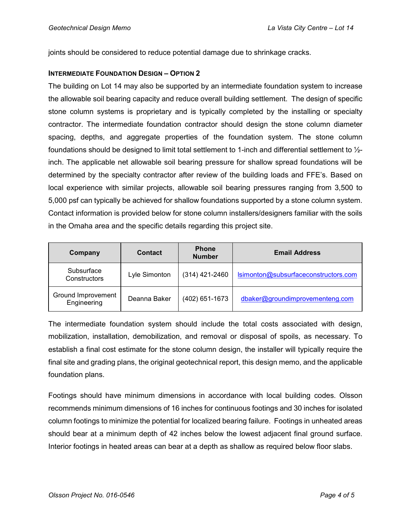joints should be considered to reduce potential damage due to shrinkage cracks.

### **INTERMEDIATE FOUNDATION DESIGN – OPTION 2**

The building on Lot 14 may also be supported by an intermediate foundation system to increase the allowable soil bearing capacity and reduce overall building settlement. The design of specific stone column systems is proprietary and is typically completed by the installing or specialty contractor. The intermediate foundation contractor should design the stone column diameter spacing, depths, and aggregate properties of the foundation system. The stone column foundations should be designed to limit total settlement to 1-inch and differential settlement to ½ inch. The applicable net allowable soil bearing pressure for shallow spread foundations will be determined by the specialty contractor after review of the building loads and FFE's. Based on local experience with similar projects, allowable soil bearing pressures ranging from 3,500 to 5,000 psf can typically be achieved for shallow foundations supported by a stone column system. Contact information is provided below for stone column installers/designers familiar with the soils in the Omaha area and the specific details regarding this project site.

| Company                           | <b>Contact</b> | <b>Phone</b><br><b>Number</b> | <b>Email Address</b>                 |
|-----------------------------------|----------------|-------------------------------|--------------------------------------|
| Subsurface<br>Constructors        | Lyle Simonton  | $(314)$ 421-2460              | Isimonton@subsurfaceconstructors.com |
| Ground Improvement<br>Engineering | Deanna Baker   | (402) 651-1673                | dbaker@groundimprovementeng.com      |

The intermediate foundation system should include the total costs associated with design, mobilization, installation, demobilization, and removal or disposal of spoils, as necessary. To establish a final cost estimate for the stone column design, the installer will typically require the final site and grading plans, the original geotechnical report, this design memo, and the applicable foundation plans.

Footings should have minimum dimensions in accordance with local building codes. Olsson recommends minimum dimensions of 16 inches for continuous footings and 30 inches for isolated column footings to minimize the potential for localized bearing failure. Footings in unheated areas should bear at a minimum depth of 42 inches below the lowest adjacent final ground surface. Interior footings in heated areas can bear at a depth as shallow as required below floor slabs.